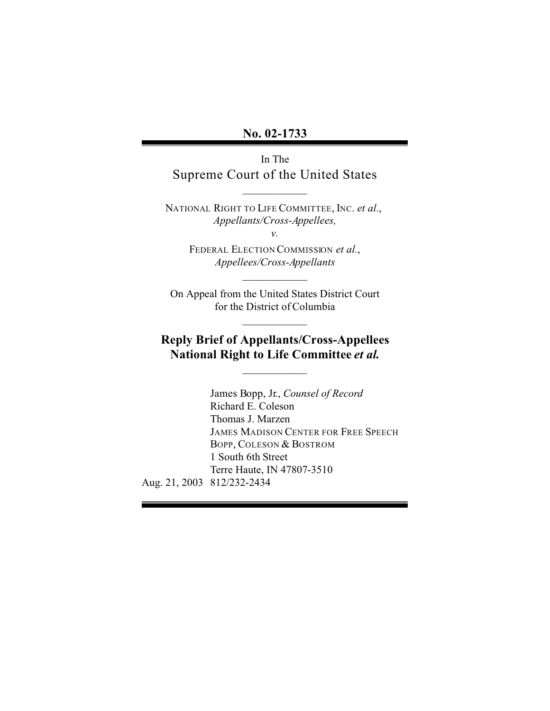### **No. 02-1733**

In The Supreme Court of the United States

 $\frac{1}{2}$  ,  $\frac{1}{2}$  ,  $\frac{1}{2}$  ,  $\frac{1}{2}$  ,  $\frac{1}{2}$  ,  $\frac{1}{2}$ 

NATIONAL RIGHT TO LIFE COMMITTEE, INC. *et al.*, *Appellants/Cross-Appellees,* 

*v.* 

FEDERAL ELECTION COMMISSION *et al.*, *Appellees/Cross-Appellants* 

On Appeal from the United States District Court for the District of Columbia

 $\frac{1}{2}$  ,  $\frac{1}{2}$  ,  $\frac{1}{2}$  ,  $\frac{1}{2}$  ,  $\frac{1}{2}$  ,  $\frac{1}{2}$ 

 $\frac{1}{2}$  ,  $\frac{1}{2}$  ,  $\frac{1}{2}$  ,  $\frac{1}{2}$  ,  $\frac{1}{2}$  ,  $\frac{1}{2}$ 

# **Reply Brief of Appellants/Cross-Appellees National Right to Life Committee** *et al.*

 $\frac{1}{2}$  ,  $\frac{1}{2}$  ,  $\frac{1}{2}$  ,  $\frac{1}{2}$  ,  $\frac{1}{2}$  ,  $\frac{1}{2}$ 

Aug. 21, 2003 812/232-2434 James Bopp, Jr., *Counsel of Record*  Richard E. Coleson Thomas J. Marzen JAMES MADISON CENTER FOR FREE SPEECH BOPP, COLESON & BOSTROM 1 South 6th Street Terre Haute, IN 47807-3510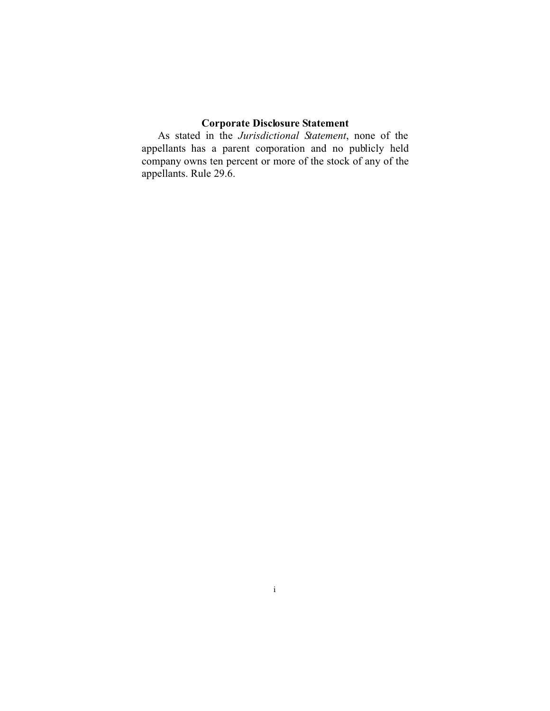### **Corporate Disclosure Statement**

As stated in the *Jurisdictional Statement*, none of the appellants has a parent corporation and no publicly held company owns ten percent or more of the stock of any of the appellants. Rule 29.6.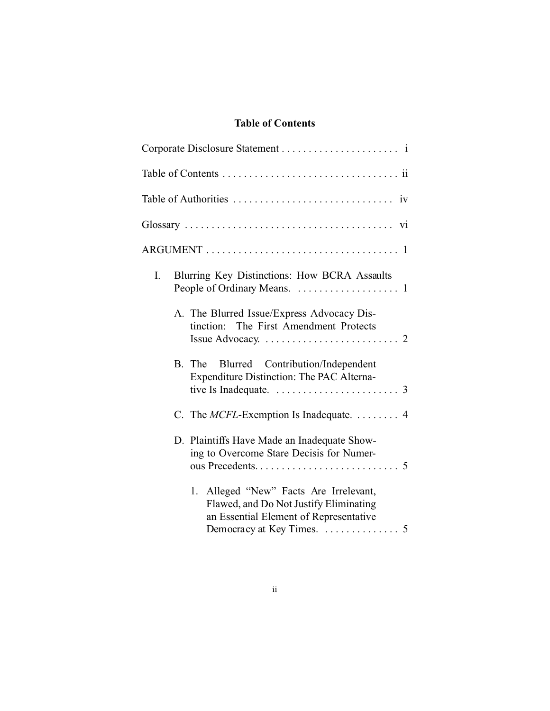## **Table of Contents**

| I. | Blurring Key Distinctions: How BCRA Assaults                                                                                                                    |  |
|----|-----------------------------------------------------------------------------------------------------------------------------------------------------------------|--|
|    | A. The Blurred Issue/Express Advocacy Dis-<br>tinction: The First Amendment Protects<br>Issue Advocacy. $\dots \dots \dots \dots \dots \dots \dots \dots \dots$ |  |
|    | Blurred Contribution/Independent<br>B. The<br>Expenditure Distinction: The PAC Alterna-<br>tive Is Inadequate. $\ldots \ldots \ldots \ldots \ldots \ldots$ 3    |  |
|    | C. The <i>MCFL</i> -Exemption Is Inadequate. $\dots \dots$ 4                                                                                                    |  |
|    | D. Plaintiffs Have Made an Inadequate Show-<br>ing to Overcome Stare Decisis for Numer-                                                                         |  |
|    | 1. Alleged "New" Facts Are Irrelevant,<br>Flawed, and Do Not Justify Eliminating<br>an Essential Element of Representative                                      |  |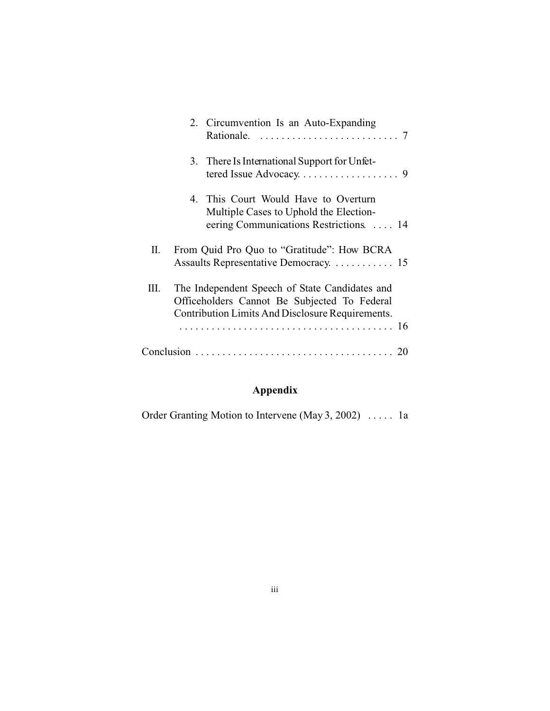|    | 2. Circumvention Is an Auto-Expanding                                                                                                              |  |
|----|----------------------------------------------------------------------------------------------------------------------------------------------------|--|
|    | 3. There Is International Support for Unfet-                                                                                                       |  |
|    | 4. This Court Would Have to Overturn<br>Multiple Cases to Uphold the Election-<br>eering Communications Restrictions.  14                          |  |
| П. | From Quid Pro Quo to "Gratitude": How BCRA<br>Assaults Representative Democracy. 15                                                                |  |
| Ш. | The Independent Speech of State Candidates and<br>Officeholders Cannot Be Subjected To Federal<br>Contribution Limits And Disclosure Requirements. |  |
|    |                                                                                                                                                    |  |

# **Appendix**

Order Granting Motion to Intervene (May 3, 2002) ..... 1a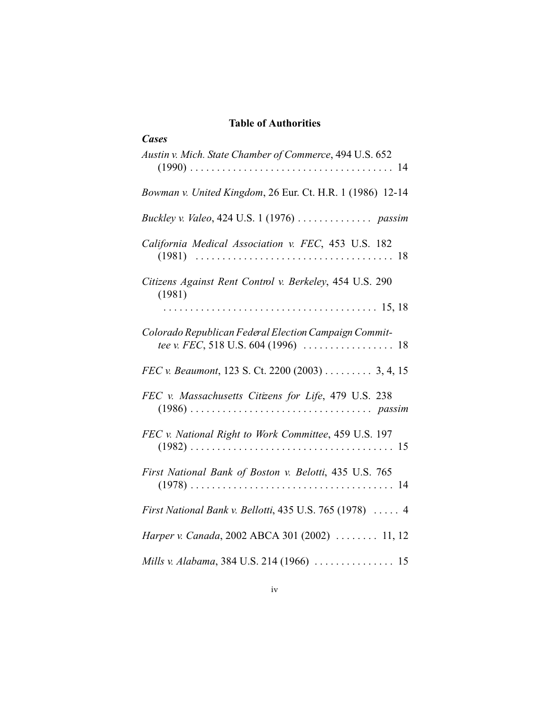### **Table of Authorities**

| <b>Cases</b>                                                                                                                            |
|-----------------------------------------------------------------------------------------------------------------------------------------|
| Austin v. Mich. State Chamber of Commerce, 494 U.S. 652                                                                                 |
| Bowman v. United Kingdom, 26 Eur. Ct. H.R. 1 (1986) 12-14                                                                               |
|                                                                                                                                         |
| California Medical Association v. FEC, 453 U.S. 182<br>18                                                                               |
| Citizens Against Rent Control v. Berkeley, 454 U.S. 290<br>(1981)                                                                       |
|                                                                                                                                         |
| Colorado Republican Federal Election Campaign Commit-<br>tee v. FEC, 518 U.S. 604 (1996) $\ldots \ldots \ldots \ldots \ldots \ldots$ 18 |
| FEC v. Beaumont, 123 S. Ct. 2200 (2003) 3, 4, 15                                                                                        |
| FEC v. Massachusetts Citizens for Life, 479 U.S. 238                                                                                    |
| FEC v. National Right to Work Committee, 459 U.S. 197                                                                                   |
| First National Bank of Boston v. Belotti, 435 U.S. 765                                                                                  |
| First National Bank v. Bellotti, 435 U.S. 765 (1978)  4                                                                                 |
| Harper v. Canada, 2002 ABCA 301 (2002)  11, 12                                                                                          |
|                                                                                                                                         |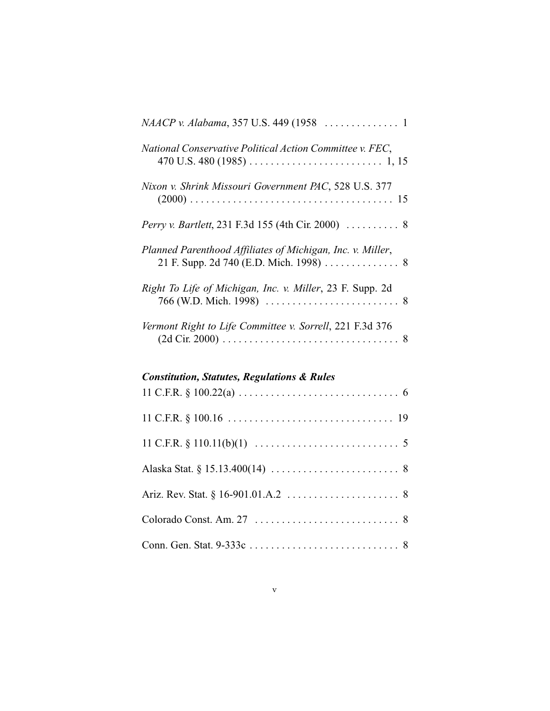| National Conservative Political Action Committee v. FEC,   |
|------------------------------------------------------------|
| Nixon v. Shrink Missouri Government PAC, 528 U.S. 377      |
|                                                            |
| Planned Parenthood Affiliates of Michigan, Inc. v. Miller, |
| Right To Life of Michigan, Inc. v. Miller, 23 F. Supp. 2d  |
| Vermont Right to Life Committee v. Sorrell, 221 F.3d 376   |

## *Constitution, Statutes, Regulations & Rules*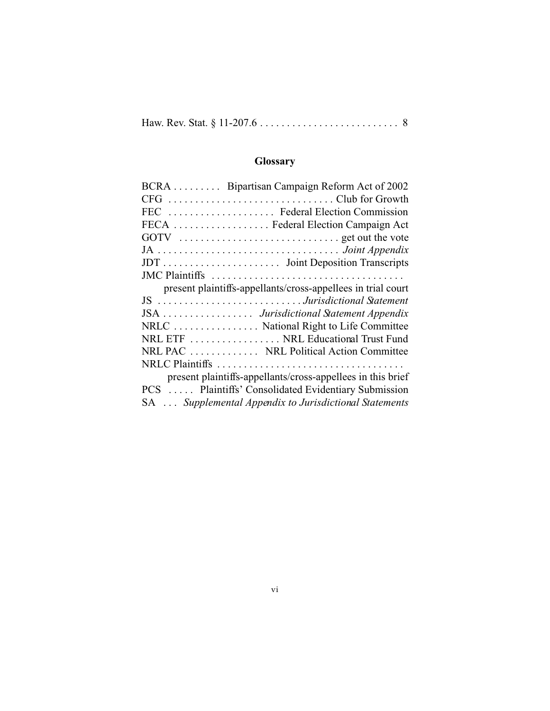|--|--|--|--|

# **Glossary**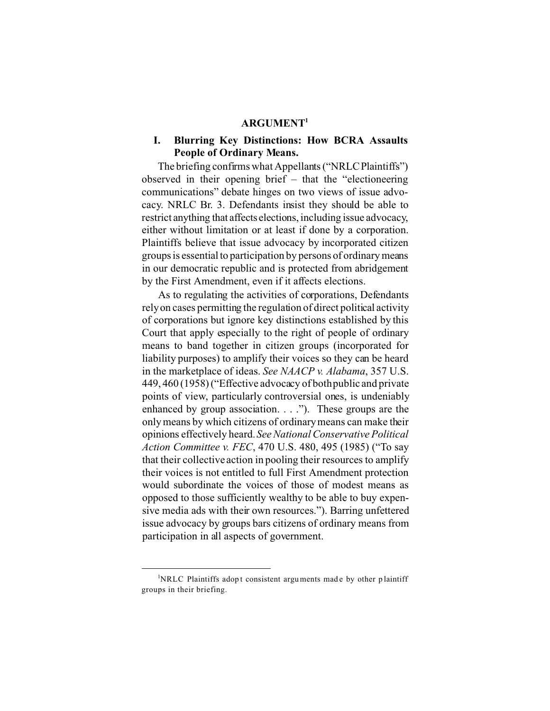#### **ARGUMENT1**

### **I. Blurring Key Distinctions: How BCRA Assaults People of Ordinary Means.**

The briefing confirms what Appellants ("NRLCPlaintiffs") observed in their opening brief – that the "electioneering communications" debate hinges on two views of issue advocacy. NRLC Br. 3. Defendants insist they should be able to restrict anything that affects elections, including issue advocacy, either without limitation or at least if done by a corporation. Plaintiffs believe that issue advocacy by incorporated citizen groups is essential to participation by persons of ordinary means in our democratic republic and is protected from abridgement by the First Amendment, even if it affects elections.

As to regulating the activities of corporations, Defendants rely on cases permitting the regulation of direct political activity of corporations but ignore key distinctions established by this Court that apply especially to the right of people of ordinary means to band together in citizen groups (incorporated for liability purposes) to amplify their voices so they can be heard in the marketplace of ideas. *See NAACP v. Alabama*, 357 U.S. 449, 460 (1958) ("Effective advocacy of bothpublic and private points of view, particularly controversial ones, is undeniably enhanced by group association. . . ."). These groups are the only means by which citizens of ordinary means can make their opinions effectively heard. *See National Conservative Political Action Committee v. FEC*, 470 U.S. 480, 495 (1985) ("To say that their collective action in pooling their resources to amplify their voices is not entitled to full First Amendment protection would subordinate the voices of those of modest means as opposed to those sufficiently wealthy to be able to buy expensive media ads with their own resources."). Barring unfettered issue advocacy by groups bars citizens of ordinary means from participation in all aspects of government.

<sup>&</sup>lt;sup>1</sup>NRLC Plaintiffs adopt consistent arguments made by other plaintiff groups in their briefing.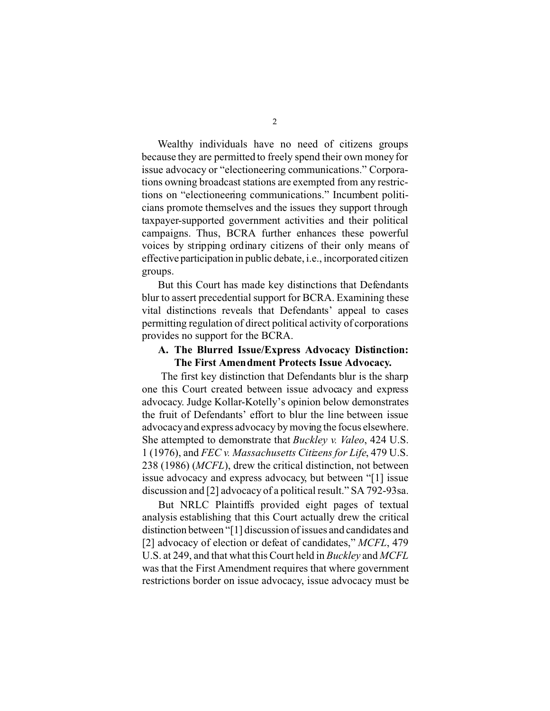Wealthy individuals have no need of citizens groups because they are permitted to freely spend their own money for issue advocacy or "electioneering communications." Corporations owning broadcast stations are exempted from any restrictions on "electioneering communications." Incumbent politicians promote themselves and the issues they support through taxpayer-supported government activities and their political campaigns. Thus, BCRA further enhances these powerful voices by stripping ordinary citizens of their only means of effective participation in public debate, i.e., incorporated citizen groups.

But this Court has made key distinctions that Defendants blur to assert precedential support for BCRA. Examining these vital distinctions reveals that Defendants' appeal to cases permitting regulation of direct political activity of corporations provides no support for the BCRA.

#### **A. The Blurred Issue/Express Advocacy Distinction: The First Amendment Protects Issue Advocacy.**

The first key distinction that Defendants blur is the sharp one this Court created between issue advocacy and express advocacy. Judge Kollar-Kotelly's opinion below demonstrates the fruit of Defendants' effort to blur the line between issue advocacy and express advocacy by moving the focus elsewhere. She attempted to demonstrate that *Buckley v. Valeo*, 424 U.S. 1 (1976), and *FEC v. Massachusetts Citizens for Life*, 479 U.S. 238 (1986) (*MCFL*), drew the critical distinction, not between issue advocacy and express advocacy, but between "[1] issue discussion and [2] advocacy of a political result." SA 792-93sa.

But NRLC Plaintiffs provided eight pages of textual analysis establishing that this Court actually drew the critical distinction between "[1] discussion of issues and candidates and [2] advocacy of election or defeat of candidates," *MCFL*, 479 U.S. at 249, and that what this Court held in *Buckley* and *MCFL*  was that the First Amendment requires that where government restrictions border on issue advocacy, issue advocacy must be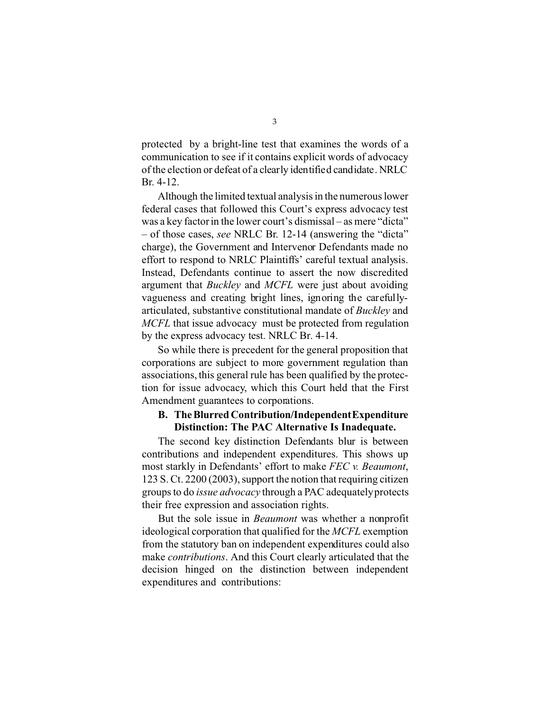protected by a bright-line test that examines the words of a communication to see if it contains explicit words of advocacy of the election or defeat of a clearly identified candidate. NRLC Br. 4-12.

Although the limited textual analysis in the numerous lower federal cases that followed this Court's express advocacy test was a key factor in the lower court's dismissal – as mere "dicta" – of those cases, *see* NRLC Br. 12-14 (answering the "dicta" charge), the Government and Intervenor Defendants made no effort to respond to NRLC Plaintiffs' careful textual analysis. Instead, Defendants continue to assert the now discredited argument that *Buckley* and *MCFL* were just about avoiding vagueness and creating bright lines, ignoring the carefullyarticulated, substantive constitutional mandate of *Buckley* and *MCFL* that issue advocacy must be protected from regulation by the express advocacy test. NRLC Br. 4-14.

So while there is precedent for the general proposition that corporations are subject to more government regulation than associations, this general rule has been qualified by the protection for issue advocacy, which this Court held that the First Amendment guarantees to corporations.

#### **B. The Blurred Contribution/IndependentExpenditure Distinction: The PAC Alternative Is Inadequate.**

The second key distinction Defendants blur is between contributions and independent expenditures. This shows up most starkly in Defendants' effort to make *FEC v. Beaumont*, 123 S. Ct. 2200 (2003), support the notion that requiring citizen groups to do *issue advocacy* through a PAC adequatelyprotects their free expression and association rights.

But the sole issue in *Beaumont* was whether a nonprofit ideological corporation that qualified for the *MCFL* exemption from the statutory ban on independent expenditures could also make *contributions*. And this Court clearly articulated that the decision hinged on the distinction between independent expenditures and contributions: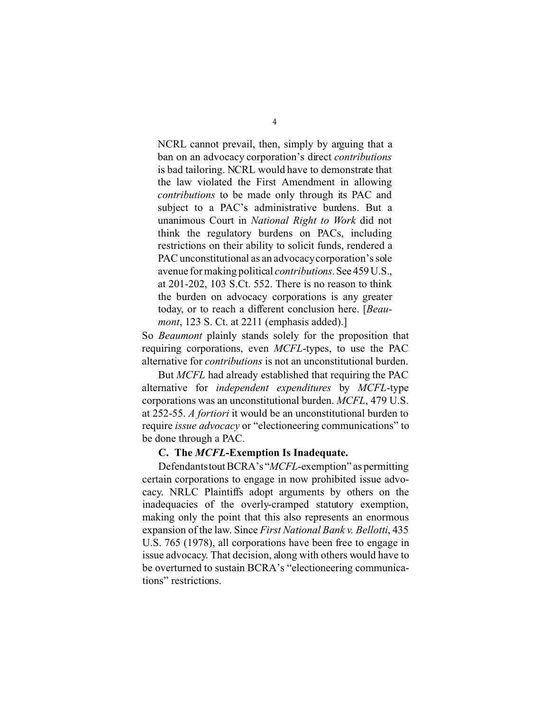NCRL cannot prevail, then, simply by arguing that a ban on an advocacy corporation's direct *contributions*  is bad tailoring. NCRL would have to demonstrate that the law violated the First Amendment in allowing *contributions* to be made only through its PAC and subject to a PAC's administrative burdens. But a unanimous Court in *National Right to Work* did not think the regulatory burdens on PACs, including restrictions on their ability to solicit funds, rendered a PAC unconstitutional as an advocacycorporation's sole avenue for making political *contributions*.See 459U.S., at 201-202, 103 S.Ct. 552. There is no reason to think the burden on advocacy corporations is any greater today, or to reach a different conclusion here. [*Beaumont*, 123 S. Ct. at 2211 (emphasis added).]

So *Beaumont* plainly stands solely for the proposition that requiring corporations, even *MCFL*-types, to use the PAC alternative for *contributions* is not an unconstitutional burden.

But *MCFL* had already established that requiring the PAC alternative for *independent expenditures* by *MCFL*-type corporations was an unconstitutional burden. *MCFL*, 479 U.S. at 252-55. *A fortiori* it would be an unconstitutional burden to require *issue advocacy* or "electioneering communications" to be done through a PAC.

#### **C. The** *MCFL***-Exemption Is Inadequate.**

Defendantstout BCRA's "*MCFL*-exemption" as permitting certain corporations to engage in now prohibited issue advocacy. NRLC Plaintiffs adopt arguments by others on the inadequacies of the overly-cramped statutory exemption, making only the point that this also represents an enormous expansion of the law. Since *First National Bank v. Bellotti*, 435 U.S. 765 (1978), all corporations have been free to engage in issue advocacy. That decision, along with others would have to be overturned to sustain BCRA's "electioneering communications" restrictions.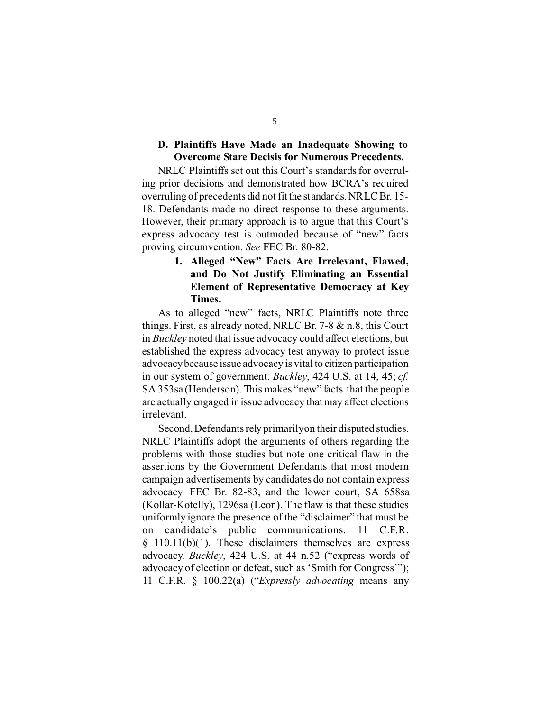#### **D. Plaintiffs Have Made an Inadequate Showing to Overcome Stare Decisis for Numerous Precedents.**

NRLC Plaintiffs set out this Court's standards for overruling prior decisions and demonstrated how BCRA's required overruling of precedents did not fit the standards. NRLC Br. 15- 18. Defendants made no direct response to these arguments. However, their primary approach is to argue that this Court's express advocacy test is outmoded because of "new" facts proving circumvention. *See* FEC Br. 80-82.

### **1. Alleged "New" Facts Are Irrelevant, Flawed, and Do Not Justify Eliminating an Essential Element of Representative Democracy at Key Times.**

As to alleged "new" facts, NRLC Plaintiffs note three things. First, as already noted, NRLC Br. 7-8 & n.8, this Court in *Buckley* noted that issue advocacy could affect elections, but established the express advocacy test anyway to protect issue advocacy because issue advocacy is vital to citizen participation in our system of government. *Buckley*, 424 U.S. at 14, 45; *cf.*  SA 353sa (Henderson). This makes "new" facts that the people are actually engaged in issue advocacy that may affect elections irrelevant.

Second, Defendants rely primarilyon their disputed studies. NRLC Plaintiffs adopt the arguments of others regarding the problems with those studies but note one critical flaw in the assertions by the Government Defendants that most modern campaign advertisements by candidates do not contain express advocacy. FEC Br. 82-83, and the lower court, SA 658sa (Kollar-Kotelly), 1296sa (Leon). The flaw is that these studies uniformly ignore the presence of the "disclaimer" that must be on candidate's public communications. 11 C.F.R.  $§$  110.11(b)(1). These disclaimers themselves are express advocacy. *Buckley*, 424 U.S. at 44 n.52 ("express words of advocacy of election or defeat, such as 'Smith for Congress'"); 11 C.F.R. § 100.22(a) ("*Expressly advocating* means any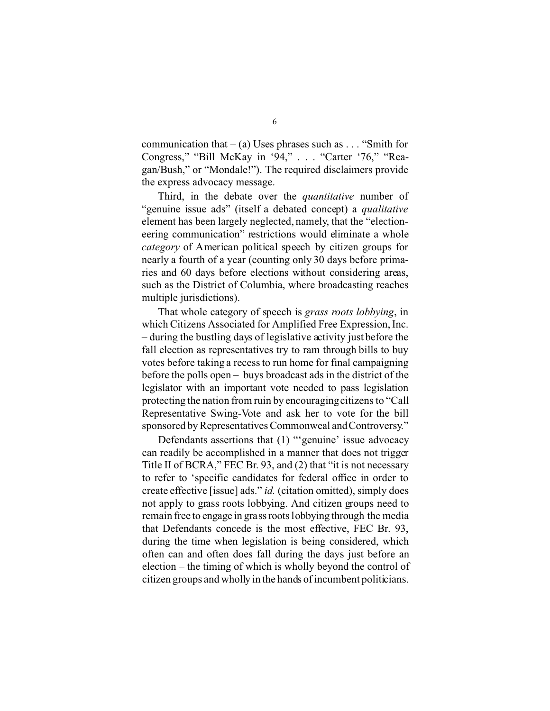communication that  $-$  (a) Uses phrases such as . . . "Smith for Congress," "Bill McKay in '94," . . . "Carter '76," "Reagan/Bush," or "Mondale!"). The required disclaimers provide the express advocacy message.

Third, in the debate over the *quantitative* number of "genuine issue ads" (itself a debated concept) a *qualitative*  element has been largely neglected, namely, that the "electioneering communication" restrictions would eliminate a whole *category* of American political speech by citizen groups for nearly a fourth of a year (counting only 30 days before primaries and 60 days before elections without considering areas, such as the District of Columbia, where broadcasting reaches multiple jurisdictions).

That whole category of speech is *grass roots lobbying*, in which Citizens Associated for Amplified Free Expression, Inc. – during the bustling days of legislative activity just before the fall election as representatives try to ram through bills to buy votes before taking a recess to run home for final campaigning before the polls open – buys broadcast ads in the district of the legislator with an important vote needed to pass legislation protecting the nation from ruin by encouraging citizens to "Call Representative Swing-Vote and ask her to vote for the bill sponsored by Representatives Commonweal and Controversy."

Defendants assertions that (1) "'genuine' issue advocacy can readily be accomplished in a manner that does not trigger Title II of BCRA," FEC Br. 93, and (2) that "it is not necessary to refer to 'specific candidates for federal office in order to create effective [issue] ads." *id.* (citation omitted), simply does not apply to grass roots lobbying. And citizen groups need to remain free to engage in grass roots lobbying through the media that Defendants concede is the most effective, FEC Br. 93, during the time when legislation is being considered, which often can and often does fall during the days just before an election – the timing of which is wholly beyond the control of citizen groups and wholly in the hands of incumbent politicians.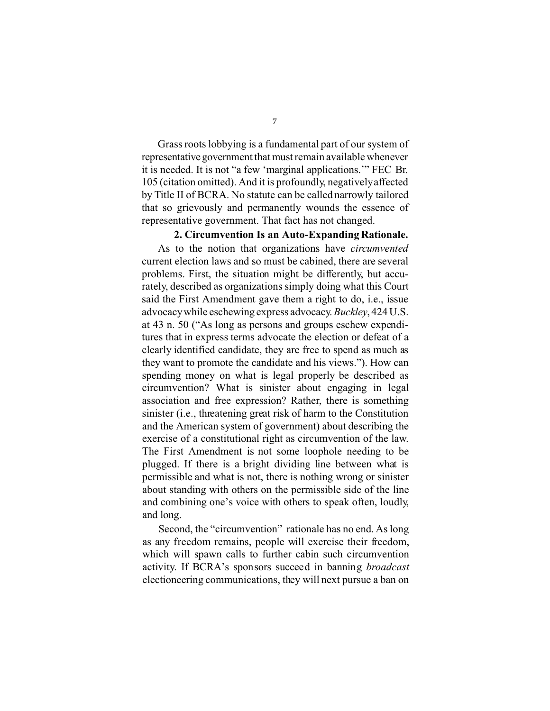Grass roots lobbying is a fundamental part of our system of representative government that must remain available whenever it is needed. It is not "a few 'marginal applications.'" FEC Br. 105 (citation omitted). And it is profoundly, negativelyaffected by Title II of BCRA. No statute can be called narrowly tailored that so grievously and permanently wounds the essence of representative government. That fact has not changed.

### **2. Circumvention Is an Auto-Expanding Rationale.**

As to the notion that organizations have *circumvented*  current election laws and so must be cabined, there are several problems. First, the situation might be differently, but accurately, described as organizations simply doing what this Court said the First Amendment gave them a right to do, i.e., issue advocacy while eschewing express advocacy. *Buckley*, 424 U.S. at 43 n. 50 ("As long as persons and groups eschew expenditures that in express terms advocate the election or defeat of a clearly identified candidate, they are free to spend as much as they want to promote the candidate and his views."). How can spending money on what is legal properly be described as circumvention? What is sinister about engaging in legal association and free expression? Rather, there is something sinister (i.e., threatening great risk of harm to the Constitution and the American system of government) about describing the exercise of a constitutional right as circumvention of the law. The First Amendment is not some loophole needing to be plugged. If there is a bright dividing line between what is permissible and what is not, there is nothing wrong or sinister about standing with others on the permissible side of the line and combining one's voice with others to speak often, loudly, and long.

Second, the "circumvention" rationale has no end. As long as any freedom remains, people will exercise their freedom, which will spawn calls to further cabin such circumvention activity. If BCRA's sponsors succeed in banning *broadcast*  electioneering communications, they will next pursue a ban on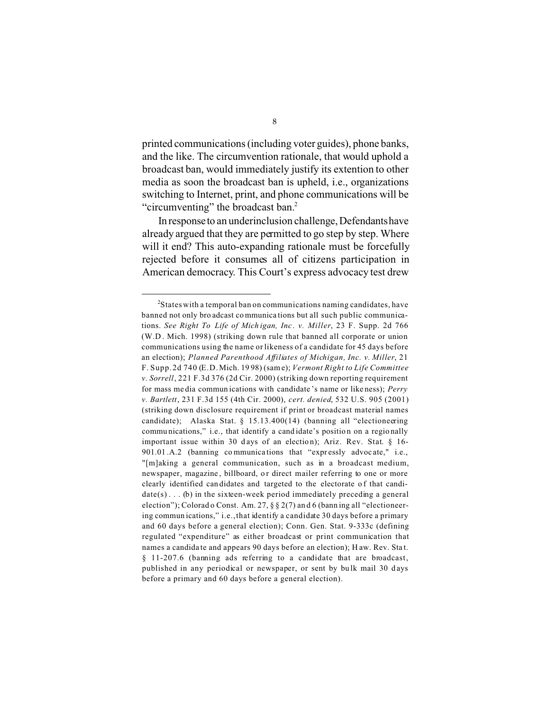printed communications (including voter guides), phone banks, and the like. The circumvention rationale, that would uphold a broadcast ban, would immediately justify its extention to other media as soon the broadcast ban is upheld, i.e., organizations switching to Internet, print, and phone communications will be "circumventing" the broadcast ban.<sup>2</sup>

In response to an underinclusion challenge, Defendantshave already argued that they are permitted to go step by step. Where will it end? This auto-expanding rationale must be forcefully rejected before it consumes all of citizens participation in American democracy. This Court's express advocacy test drew

 $2$ States with a temporal ban on communications naming candidates, have banned not only bro adcast co mmunica tions but all such public communications. *See Right To Life of Mich igan, Inc . v. Miller*, 23 F. Supp. 2d 766 (W.D . Mich. 1998) (striking down rule that banned all corporate or union communications using the name or likeness of a candidate for 45 days before an election); *Planned Parenthood Affiliates of Michigan, Inc. v. Miller*, 21 F. Supp. 2d 740 (E.D. Mich. 19 98) (same); *Vermont Right to Life Committee v. Sorrell*, 221 F.3d 376 (2d Cir. 2000) (striking down reporting requirement for mass me dia commun ications with candidate 's name or like ness); *Perry v. Bartlett*, 231 F.3d 155 (4th Cir. 2000), *cert. denied*, 532 U.S. 905 (2001) (striking down disclosure requirement if print or broadcast material names candidate); Alaska Stat. § 15.13.400(14) (banning all "electioneering commu nications," i.e., that identify a cand idate's positio n on a regio nally important issue within 30 days of an election); Ariz. Rev. Stat. § 16-901.01 .A.2 (banning communications that "expressly advocate," i.e., "[m]aking a general communication, such as in a broadcast medium, newspaper, magazine, billboard, or direct mailer referring to one or more clearly identified can didates and targeted to the electorate of that candi $date(s) \dots (b)$  in the sixteen-week period immediately preceding a general election"); Colorad o Const. Am. 27, § § 2(7) an d 6 (bann ing all "electioneering commun ications," i.e., that identify a candidate 30 days before a primary and 60 days before a general election); Conn. Gen. Stat. 9-333c (defining regulated "expenditure" as either broadcast or print communication that names a candida te and appears 90 days before an election); H aw. Rev. Sta t. § 11-207.6 (banning ads referring to a candidate that are broadcast, published in any periodical or newspaper, or sent by bulk mail 30 days before a primary and 60 days before a general election).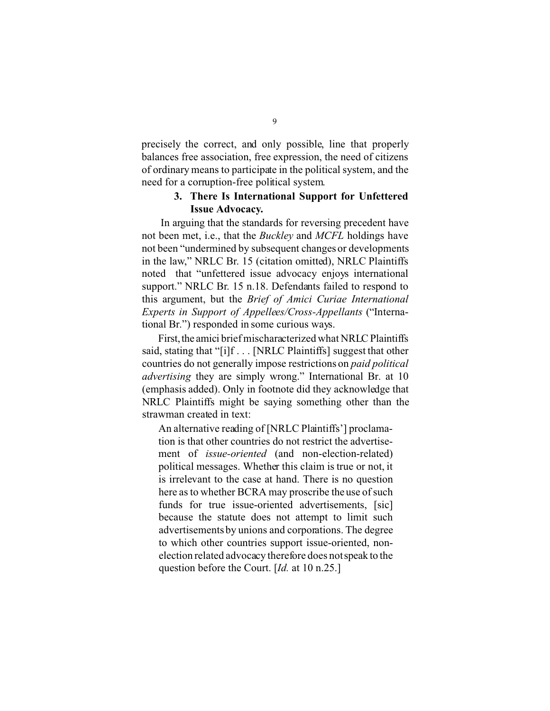precisely the correct, and only possible, line that properly balances free association, free expression, the need of citizens of ordinary means to participate in the political system, and the need for a corruption-free political system.

#### **3. There Is International Support for Unfettered Issue Advocacy.**

In arguing that the standards for reversing precedent have not been met, i.e., that the *Buckley* and *MCFL* holdings have not been "undermined by subsequent changes or developments in the law," NRLC Br. 15 (citation omitted), NRLC Plaintiffs noted that "unfettered issue advocacy enjoys international support." NRLC Br. 15 n.18. Defendants failed to respond to this argument, but the *Brief of Amici Curiae International Experts in Support of Appellees/Cross-Appellants* ("International Br.") responded in some curious ways.

First, the amici brief mischaracterized what NRLC Plaintiffs said, stating that "[i]f . . . [NRLC Plaintiffs] suggest that other countries do not generally impose restrictions on *paid political advertising* they are simply wrong." International Br. at 10 (emphasis added). Only in footnote did they acknowledge that NRLC Plaintiffs might be saying something other than the strawman created in text:

An alternative reading of [NRLC Plaintiffs'] proclamation is that other countries do not restrict the advertisement of *issue-oriented* (and non-election-related) political messages. Whether this claim is true or not, it is irrelevant to the case at hand. There is no question here as to whether BCRA may proscribe the use of such funds for true issue-oriented advertisements, [sic] because the statute does not attempt to limit such advertisements by unions and corporations. The degree to which other countries support issue-oriented, nonelection related advocacy therefore does not speak to the question before the Court. [*Id.* at 10 n.25.]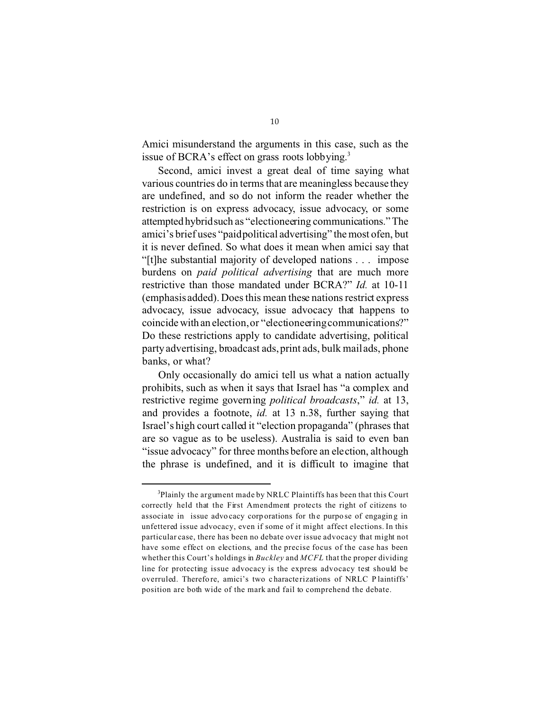Amici misunderstand the arguments in this case, such as the issue of BCRA's effect on grass roots lobbying.<sup>3</sup>

Second, amici invest a great deal of time saying what various countries do in terms that are meaningless because they are undefined, and so do not inform the reader whether the restriction is on express advocacy, issue advocacy, or some attempted hybridsuch as "electioneering communications."The amici's brief uses "paidpolitical advertising" the most ofen, but it is never defined. So what does it mean when amici say that "[t]he substantial majority of developed nations . . . impose burdens on *paid political advertising* that are much more restrictive than those mandated under BCRA?" *Id.* at 10-11 (emphasis added). Does this mean these nations restrict express advocacy, issue advocacy, issue advocacy that happens to coincide with an election, or "electioneering communications?" Do these restrictions apply to candidate advertising, political party advertising, broadcast ads, print ads, bulk mail ads, phone banks, or what?

Only occasionally do amici tell us what a nation actually prohibits, such as when it says that Israel has "a complex and restrictive regime governing *political broadcasts*," *id.* at 13, and provides a footnote, *id.* at 13 n.38, further saying that Israel's high court called it "election propaganda" (phrases that are so vague as to be useless). Australia is said to even ban "issue advocacy" for three months before an election, although the phrase is undefined, and it is difficult to imagine that

<sup>&</sup>lt;sup>3</sup>Plainly the argument made by NRLC Plaintiffs has been that this Court correctly held that the First Amendment protects the right of citizens to associate in issue advocacy corporations for the purpose of engaging in unfettered issue advocacy, even if some of it might affect elections. In this particular case, there has been no debate over issue advocacy that might not have some effect on elections, and the precise focus of the case has been whether this Court's holdings in *Buckley* and *MCFL* that the proper dividing line for protecting issue advocacy is the express advocacy test should be overruled. Therefore, amici's two characterizations of NRLC Plaintiffs' position are both wide of the mark and fail to comprehend the debate.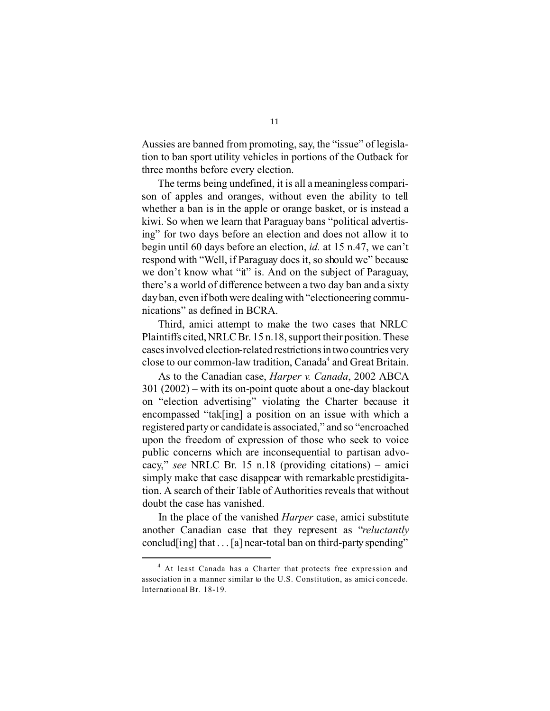Aussies are banned from promoting, say, the "issue" of legislation to ban sport utility vehicles in portions of the Outback for three months before every election.

The terms being undefined, it is all a meaningless comparison of apples and oranges, without even the ability to tell whether a ban is in the apple or orange basket, or is instead a kiwi. So when we learn that Paraguay bans "political advertising" for two days before an election and does not allow it to begin until 60 days before an election, *id.* at 15 n.47, we can't respond with "Well, if Paraguay does it, so should we" because we don't know what "it" is. And on the subject of Paraguay, there's a world of difference between a two day ban and a sixty day ban, even if both were dealing with "electioneering communications" as defined in BCRA.

Third, amici attempt to make the two cases that NRLC Plaintiffs cited, NRLC Br. 15 n.18, support their position. These cases involved election-related restrictionsin two countries very close to our common-law tradition, Canada<sup>4</sup> and Great Britain.

As to the Canadian case, *Harper v. Canada*, 2002 ABCA 301 (2002) – with its on-point quote about a one-day blackout on "election advertising" violating the Charter because it encompassed "tak[ing] a position on an issue with which a registered party or candidate is associated," and so "encroached upon the freedom of expression of those who seek to voice public concerns which are inconsequential to partisan advocacy," *see* NRLC Br. 15 n.18 (providing citations) – amici simply make that case disappear with remarkable prestidigitation. A search of their Table of Authorities reveals that without doubt the case has vanished.

In the place of the vanished *Harper* case, amici substitute another Canadian case that they represent as "*reluctantly*  conclud[ing] that  $\dots$  [a] near-total ban on third-party spending"

<sup>&</sup>lt;sup>4</sup> At least Canada has a Charter that protects free expression and association in a manner similar to the U.S. Constitution, as amici concede. International Br. 18-19.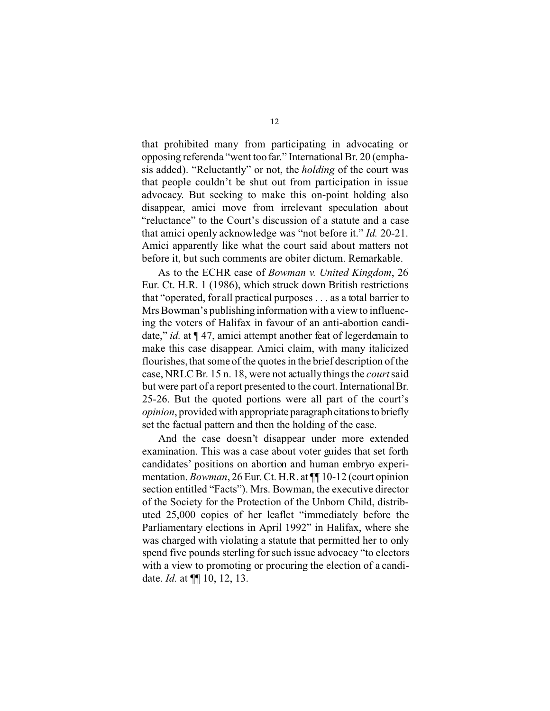that prohibited many from participating in advocating or opposing referenda "went too far." International Br. 20 (emphasis added). "Reluctantly" or not, the *holding* of the court was that people couldn't be shut out from participation in issue advocacy. But seeking to make this on-point holding also disappear, amici move from irrelevant speculation about "reluctance" to the Court's discussion of a statute and a case that amici openly acknowledge was "not before it." *Id.* 20-21. Amici apparently like what the court said about matters not before it, but such comments are obiter dictum. Remarkable.

As to the ECHR case of *Bowman v. United Kingdom*, 26 Eur. Ct. H.R. 1 (1986), which struck down British restrictions that "operated, for all practical purposes . . . as a total barrier to Mrs Bowman's publishing information with a view to influencing the voters of Halifax in favour of an anti-abortion candidate," *id.* at ¶ 47, amici attempt another feat of legerdemain to make this case disappear. Amici claim, with many italicized flourishes, that some of the quotes in the brief description of the case, NRLC Br. 15 n. 18, were not actually things the *court* said but were part of a report presented to the court. International Br. 25-26. But the quoted portions were all part of the court's *opinion*, provided with appropriate paragraph citations to briefly set the factual pattern and then the holding of the case.

And the case doesn't disappear under more extended examination. This was a case about voter guides that set forth candidates' positions on abortion and human embryo experimentation. *Bowman*, 26 Eur. Ct. H.R. at ¶¶ 10-12 (court opinion section entitled "Facts"). Mrs. Bowman, the executive director of the Society for the Protection of the Unborn Child, distributed 25,000 copies of her leaflet "immediately before the Parliamentary elections in April 1992" in Halifax, where she was charged with violating a statute that permitted her to only spend five pounds sterling for such issue advocacy "to electors with a view to promoting or procuring the election of a candidate. *Id.* at ¶¶ 10, 12, 13.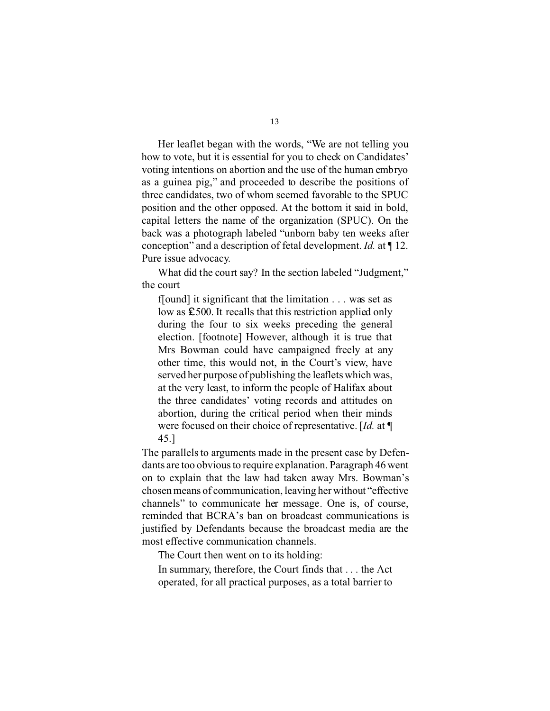Her leaflet began with the words, "We are not telling you how to vote, but it is essential for you to check on Candidates' voting intentions on abortion and the use of the human embryo as a guinea pig," and proceeded to describe the positions of three candidates, two of whom seemed favorable to the SPUC position and the other opposed. At the bottom it said in bold, capital letters the name of the organization (SPUC). On the back was a photograph labeled "unborn baby ten weeks after conception" and a description of fetal development. *Id.* at ¶ 12. Pure issue advocacy.

What did the court say? In the section labeled "Judgment," the court

f[ound] it significant that the limitation . . . was set as low as  $\text{\pounds}500$ . It recalls that this restriction applied only during the four to six weeks preceding the general election. [footnote] However, although it is true that Mrs Bowman could have campaigned freely at any other time, this would not, in the Court's view, have served her purpose of publishing the leaflets which was, at the very least, to inform the people of Halifax about the three candidates' voting records and attitudes on abortion, during the critical period when their minds were focused on their choice of representative. [*Id.* at ¶ 45.]

The parallels to arguments made in the present case by Defendants are too obvious to require explanation. Paragraph 46 went on to explain that the law had taken away Mrs. Bowman's chosen means of communication, leaving her without "effective channels" to communicate her message. One is, of course, reminded that BCRA's ban on broadcast communications is justified by Defendants because the broadcast media are the most effective communication channels.

The Court then went on to its holding:

In summary, therefore, the Court finds that . . . the Act operated, for all practical purposes, as a total barrier to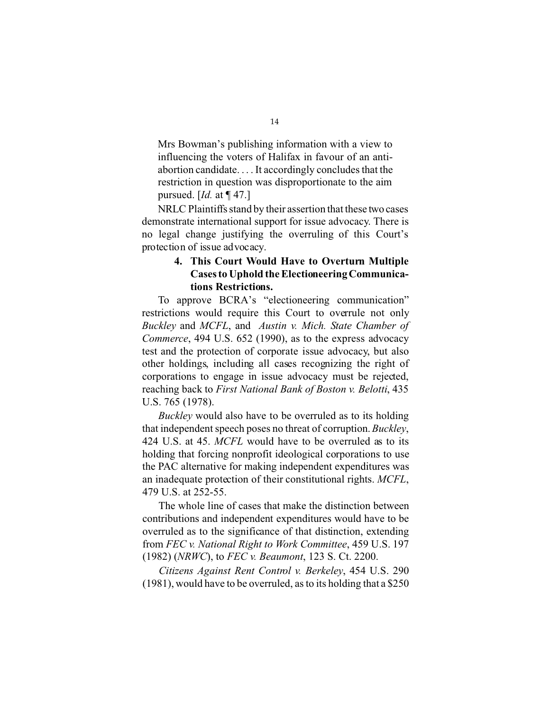Mrs Bowman's publishing information with a view to influencing the voters of Halifax in favour of an antiabortion candidate. . . . It accordingly concludes that the restriction in question was disproportionate to the aim pursued. [*Id.* at ¶ 47.]

NRLC Plaintiffs stand by their assertion that these two cases demonstrate international support for issue advocacy. There is no legal change justifying the overruling of this Court's protection of issue advocacy.

### **4. This Court Would Have to Overturn Multiple Cases to Uphold the Electioneering Communications Restrictions.**

To approve BCRA's "electioneering communication" restrictions would require this Court to overrule not only *Buckley* and *MCFL*, and *Austin v. Mich. State Chamber of Commerce*, 494 U.S. 652 (1990), as to the express advocacy test and the protection of corporate issue advocacy, but also other holdings, including all cases recognizing the right of corporations to engage in issue advocacy must be rejected, reaching back to *First National Bank of Boston v. Belotti*, 435 U.S. 765 (1978).

*Buckley* would also have to be overruled as to its holding that independent speech poses no threat of corruption. *Buckley*, 424 U.S. at 45. *MCFL* would have to be overruled as to its holding that forcing nonprofit ideological corporations to use the PAC alternative for making independent expenditures was an inadequate protection of their constitutional rights. *MCFL*, 479 U.S. at 252-55.

The whole line of cases that make the distinction between contributions and independent expenditures would have to be overruled as to the significance of that distinction, extending from *FEC v. National Right to Work Committee*, 459 U.S. 197 (1982) (*NRWC*), to *FEC v. Beaumont*, 123 S. Ct. 2200.

*Citizens Against Rent Control v. Berkeley*, 454 U.S. 290 (1981), would have to be overruled, as to its holding that a \$250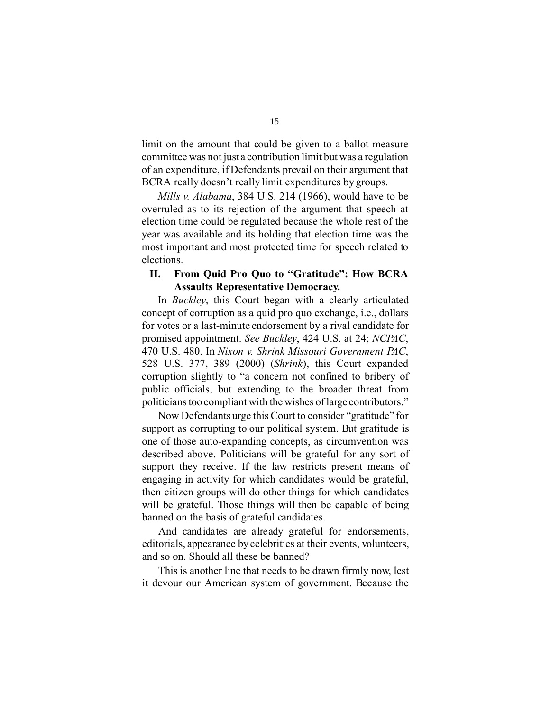limit on the amount that could be given to a ballot measure committee was not just a contribution limit but was a regulation of an expenditure, if Defendants prevail on their argument that BCRA really doesn't really limit expenditures by groups.

*Mills v. Alabama*, 384 U.S. 214 (1966), would have to be overruled as to its rejection of the argument that speech at election time could be regulated because the whole rest of the year was available and its holding that election time was the most important and most protected time for speech related to elections.

#### **II. From Quid Pro Quo to "Gratitude": How BCRA Assaults Representative Democracy.**

In *Buckley*, this Court began with a clearly articulated concept of corruption as a quid pro quo exchange, i.e., dollars for votes or a last-minute endorsement by a rival candidate for promised appointment. *See Buckley*, 424 U.S. at 24; *NCPAC*, 470 U.S. 480. In *Nixon v. Shrink Missouri Government PAC*, 528 U.S. 377, 389 (2000) (*Shrink*), this Court expanded corruption slightly to "a concern not confined to bribery of public officials, but extending to the broader threat from politicians too compliant with the wishes of large contributors."

Now Defendants urge this Court to consider "gratitude" for support as corrupting to our political system. But gratitude is one of those auto-expanding concepts, as circumvention was described above. Politicians will be grateful for any sort of support they receive. If the law restricts present means of engaging in activity for which candidates would be grateful, then citizen groups will do other things for which candidates will be grateful. Those things will then be capable of being banned on the basis of grateful candidates.

And candidates are already grateful for endorsements, editorials, appearance by celebrities at their events, volunteers, and so on. Should all these be banned?

This is another line that needs to be drawn firmly now, lest it devour our American system of government. Because the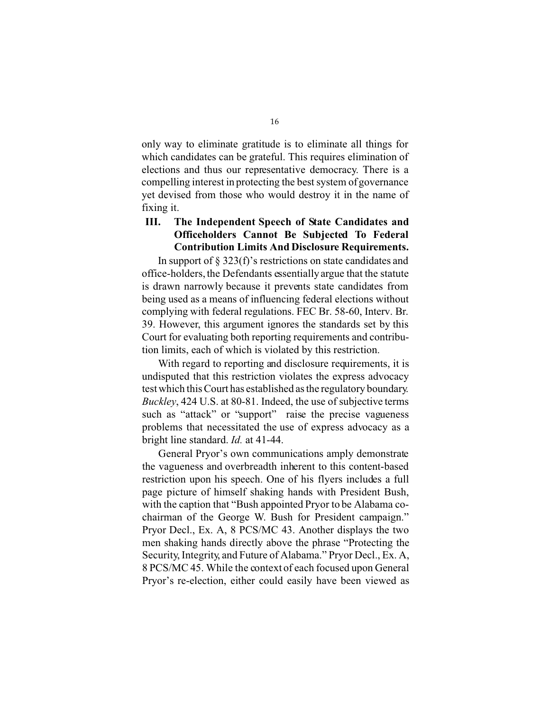only way to eliminate gratitude is to eliminate all things for which candidates can be grateful. This requires elimination of elections and thus our representative democracy. There is a compelling interest in protecting the best system of governance yet devised from those who would destroy it in the name of fixing it.

### **III. The Independent Speech of State Candidates and Officeholders Cannot Be Subjected To Federal Contribution Limits And Disclosure Requirements.**

In support of  $\S 323(f)$ 's restrictions on state candidates and office-holders, the Defendants essentially argue that the statute is drawn narrowly because it prevents state candidates from being used as a means of influencing federal elections without complying with federal regulations. FEC Br. 58-60, Interv. Br. 39. However, this argument ignores the standards set by this Court for evaluating both reporting requirements and contribution limits, each of which is violated by this restriction.

With regard to reporting and disclosure requirements, it is undisputed that this restriction violates the express advocacy test which this Court has established as the regulatory boundary. *Buckley*, 424 U.S. at 80-81. Indeed, the use of subjective terms such as "attack" or "support" raise the precise vagueness problems that necessitated the use of express advocacy as a bright line standard. *Id.* at 41-44.

General Pryor's own communications amply demonstrate the vagueness and overbreadth inherent to this content-based restriction upon his speech. One of his flyers includes a full page picture of himself shaking hands with President Bush, with the caption that "Bush appointed Pryor to be Alabama cochairman of the George W. Bush for President campaign." Pryor Decl., Ex. A, 8 PCS/MC 43. Another displays the two men shaking hands directly above the phrase "Protecting the Security, Integrity, and Future of Alabama." Pryor Decl., Ex. A, 8 PCS/MC 45. While the context of each focused upon General Pryor's re-election, either could easily have been viewed as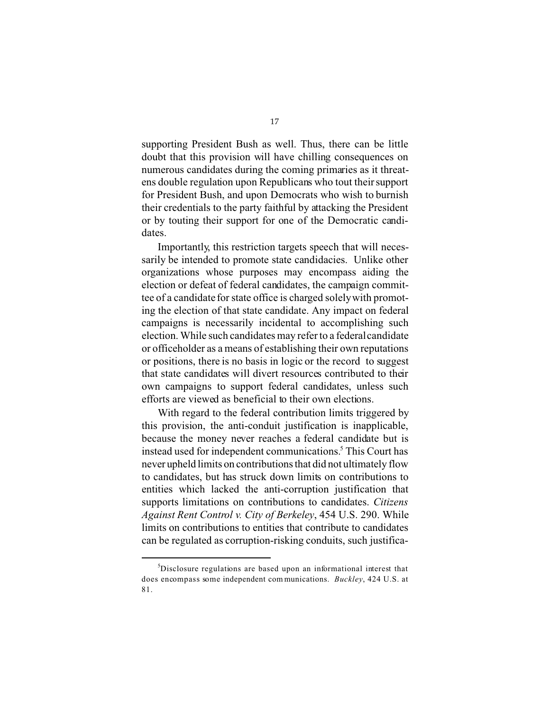supporting President Bush as well. Thus, there can be little doubt that this provision will have chilling consequences on numerous candidates during the coming primaries as it threatens double regulation upon Republicans who tout their support for President Bush, and upon Democrats who wish to burnish their credentials to the party faithful by attacking the President or by touting their support for one of the Democratic candidates.

Importantly, this restriction targets speech that will necessarily be intended to promote state candidacies. Unlike other organizations whose purposes may encompass aiding the election or defeat of federal candidates, the campaign committee of a candidate for state office is charged solely with promoting the election of that state candidate. Any impact on federal campaigns is necessarily incidental to accomplishing such election. While such candidates may refer to a federal candidate or officeholder as a means of establishing their own reputations or positions, there is no basis in logic or the record to suggest that state candidates will divert resources contributed to their own campaigns to support federal candidates, unless such efforts are viewed as beneficial to their own elections.

With regard to the federal contribution limits triggered by this provision, the anti-conduit justification is inapplicable, because the money never reaches a federal candidate but is instead used for independent communications.<sup>5</sup> This Court has never upheld limits on contributions that did not ultimately flow to candidates, but has struck down limits on contributions to entities which lacked the anti-corruption justification that supports limitations on contributions to candidates. *Citizens Against Rent Control v. City of Berkeley*, 454 U.S. 290. While limits on contributions to entities that contribute to candidates can be regulated as corruption-risking conduits, such justifica-

<sup>5</sup> Disclosure regulations are based upon an informational interest that does encompass some independent com munications. *Buckley*, 424 U.S. at 81.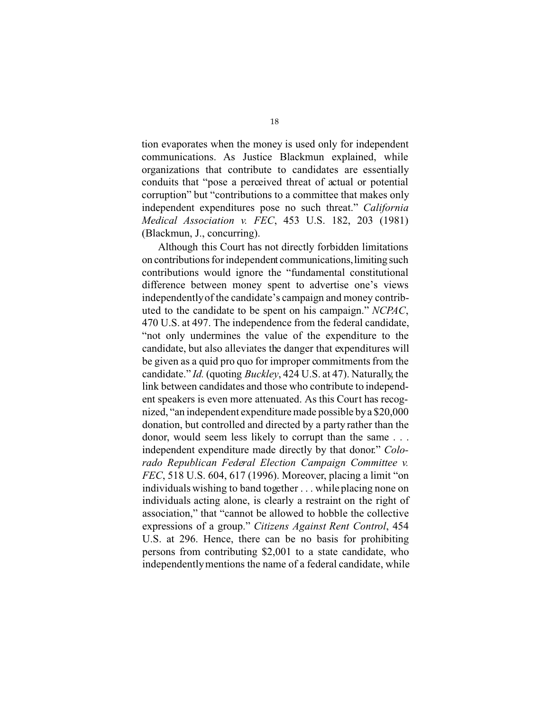tion evaporates when the money is used only for independent communications. As Justice Blackmun explained, while organizations that contribute to candidates are essentially conduits that "pose a perceived threat of actual or potential corruption" but "contributions to a committee that makes only independent expenditures pose no such threat." *California Medical Association v. FEC*, 453 U.S. 182, 203 (1981) (Blackmun, J., concurring).

Although this Court has not directly forbidden limitations on contributions for independent communications,limiting such contributions would ignore the "fundamental constitutional difference between money spent to advertise one's views independentlyof the candidate's campaign and money contributed to the candidate to be spent on his campaign." *NCPAC*, 470 U.S. at 497. The independence from the federal candidate, "not only undermines the value of the expenditure to the candidate, but also alleviates the danger that expenditures will be given as a quid pro quo for improper commitments from the candidate." *Id.* (quoting *Buckley*, 424 U.S. at 47). Naturally, the link between candidates and those who contribute to independent speakers is even more attenuated. As this Court has recognized, "an independent expenditure made possible by a \$20,000 donation, but controlled and directed by a party rather than the donor, would seem less likely to corrupt than the same . . . independent expenditure made directly by that donor." *Colorado Republican Federal Election Campaign Committee v. FEC*, 518 U.S. 604, 617 (1996). Moreover, placing a limit "on individuals wishing to band together . . . while placing none on individuals acting alone, is clearly a restraint on the right of association," that "cannot be allowed to hobble the collective expressions of a group." *Citizens Against Rent Control*, 454 U.S. at 296. Hence, there can be no basis for prohibiting persons from contributing \$2,001 to a state candidate, who independently mentions the name of a federal candidate, while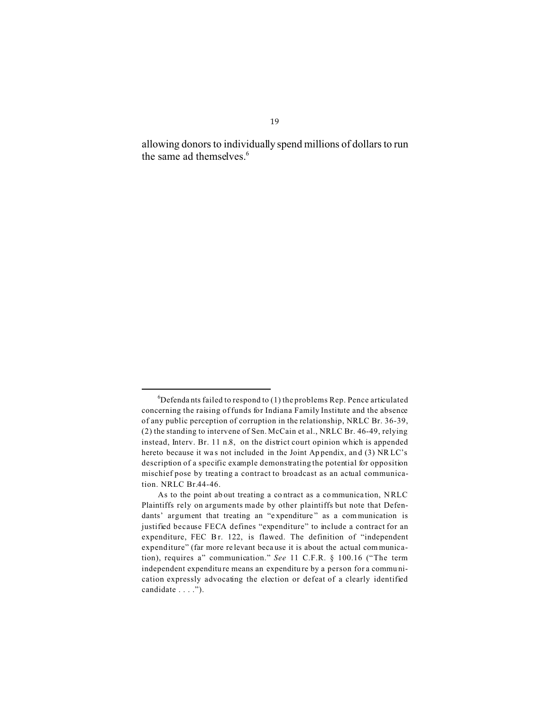allowing donors to individually spend millions of dollars to run the same ad themselves.<sup>6</sup>

 ${}^{6}$ Defendants failed to respond to (1) the problems Rep. Pence articulated concerning the raising of funds for Indiana Family Institute and the absence of any public perception of corruption in the relationship, NRLC Br. 36-39, (2) the standing to intervene of Sen. McCain et al., NRLC Br. 46-49, relying instead, Interv. Br. 11 n.8, on the district court opinion which is appended hereto because it was not included in the Joint Appendix, and (3) NRLC's description of a specific example demonstrating the potential for opposition mischief pose by treating a contract to broadcast as an actual communication. NRLC Br.44-46.

As to the point ab out treating a co ntract as a communica tion, NRLC Plaintiffs rely on arguments made by other plaintiffs but note that Defendants' argument that treating an "expenditure" as a communication is justified because FECA defines "expenditure" to include a contract for an expenditure, FEC Br. 122, is flawed. The definition of "independent expenditure" (far more re levant beca use it is about the actual communication), requires a" communication." *See* 11 C.F.R. § 100.16 ("The term independent expenditu re means an expenditu re by a person for a commu nication expressly advocating the election or defeat of a clearly identified candidate . . . .").